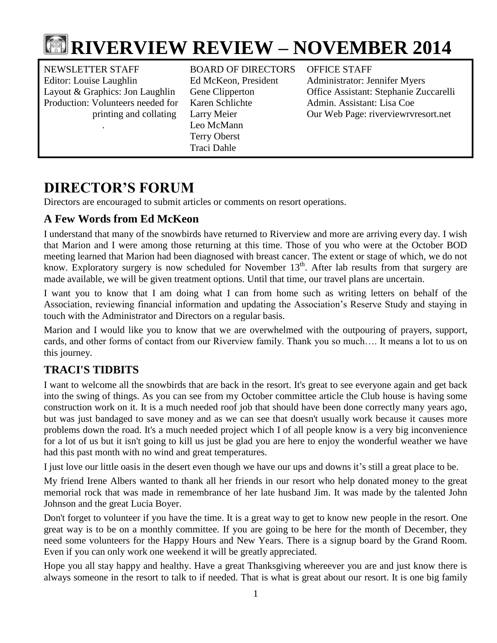

NEWSLETTER STAFF BOARD OF DIRECTORS OFFICE STAFF Editor: Louise Laughlin Ed McKeon, President Administrator: Jennifer Myers Production: Volunteers needed for Karen Schlichte Admin. Assistant: Lisa Coe

 . Leo McMann Terry Oberst Traci Dahle

Layout & Graphics: Jon Laughlin Gene Clipperton Office Assistant: Stephanie Zuccarelli printing and collating Larry Meier Our Web Page: riverviewrvresort.net

# **DIRECTOR'S FORUM**

Directors are encouraged to submit articles or comments on resort operations.

# **A Few Words from Ed McKeon**

I understand that many of the snowbirds have returned to Riverview and more are arriving every day. I wish that Marion and I were among those returning at this time. Those of you who were at the October BOD meeting learned that Marion had been diagnosed with breast cancer. The extent or stage of which, we do not know. Exploratory surgery is now scheduled for November 13<sup>th</sup>. After lab results from that surgery are made available, we will be given treatment options. Until that time, our travel plans are uncertain.

I want you to know that I am doing what I can from home such as writing letters on behalf of the Association, reviewing financial information and updating the Association's Reserve Study and staying in touch with the Administrator and Directors on a regular basis.

Marion and I would like you to know that we are overwhelmed with the outpouring of prayers, support, cards, and other forms of contact from our Riverview family. Thank you so much…. It means a lot to us on this journey.

# **TRACI'S TIDBITS**

I want to welcome all the snowbirds that are back in the resort. It's great to see everyone again and get back into the swing of things. As you can see from my October committee article the Club house is having some construction work on it. It is a much needed roof job that should have been done correctly many years ago, but was just bandaged to save money and as we can see that doesn't usually work because it causes more problems down the road. It's a much needed project which I of all people know is a very big inconvenience for a lot of us but it isn't going to kill us just be glad you are here to enjoy the wonderful weather we have had this past month with no wind and great temperatures.

I just love our little oasis in the desert even though we have our ups and downs it's still a great place to be.

My friend Irene Albers wanted to thank all her friends in our resort who help donated money to the great memorial rock that was made in remembrance of her late husband Jim. It was made by the talented John Johnson and the great Lucia Boyer.

Don't forget to volunteer if you have the time. It is a great way to get to know new people in the resort. One great way is to be on a monthly committee. If you are going to be here for the month of December, they need some volunteers for the Happy Hours and New Years. There is a signup board by the Grand Room. Even if you can only work one weekend it will be greatly appreciated.

Hope you all stay happy and healthy. Have a great Thanksgiving whereever you are and just know there is always someone in the resort to talk to if needed. That is what is great about our resort. It is one big family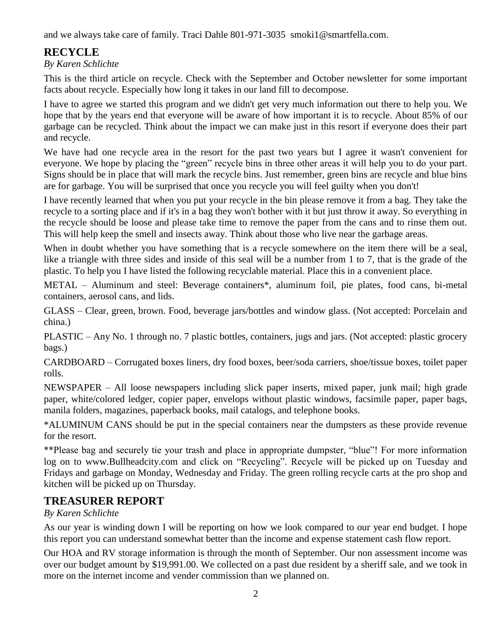and we always take care of family. Traci Dahle 801-971-3035 smoki1@smartfella.com.

# **RECYCLE**

### *By Karen Schlichte*

This is the third article on recycle. Check with the September and October newsletter for some important facts about recycle. Especially how long it takes in our land fill to decompose.

I have to agree we started this program and we didn't get very much information out there to help you. We hope that by the years end that everyone will be aware of how important it is to recycle. About 85% of our garbage can be recycled. Think about the impact we can make just in this resort if everyone does their part and recycle.

We have had one recycle area in the resort for the past two years but I agree it wasn't convenient for everyone. We hope by placing the "green" recycle bins in three other areas it will help you to do your part. Signs should be in place that will mark the recycle bins. Just remember, green bins are recycle and blue bins are for garbage. You will be surprised that once you recycle you will feel guilty when you don't!

I have recently learned that when you put your recycle in the bin please remove it from a bag. They take the recycle to a sorting place and if it's in a bag they won't bother with it but just throw it away. So everything in the recycle should be loose and please take time to remove the paper from the cans and to rinse them out. This will help keep the smell and insects away. Think about those who live near the garbage areas.

When in doubt whether you have something that is a recycle somewhere on the item there will be a seal, like a triangle with three sides and inside of this seal will be a number from 1 to 7, that is the grade of the plastic. To help you I have listed the following recyclable material. Place this in a convenient place.

METAL – Aluminum and steel: Beverage containers\*, aluminum foil, pie plates, food cans, bi-metal containers, aerosol cans, and lids.

GLASS – Clear, green, brown. Food, beverage jars/bottles and window glass. (Not accepted: Porcelain and china.)

PLASTIC – Any No. 1 through no. 7 plastic bottles, containers, jugs and jars. (Not accepted: plastic grocery bags.)

CARDBOARD – Corrugated boxes liners, dry food boxes, beer/soda carriers, shoe/tissue boxes, toilet paper rolls.

NEWSPAPER – All loose newspapers including slick paper inserts, mixed paper, junk mail; high grade paper, white/colored ledger, copier paper, envelops without plastic windows, facsimile paper, paper bags, manila folders, magazines, paperback books, mail catalogs, and telephone books.

\*ALUMINUM CANS should be put in the special containers near the dumpsters as these provide revenue for the resort.

\*\*Please bag and securely tie your trash and place in appropriate dumpster, "blue"! For more information log on to [www.Bullheadcity.com](http://www.bullheadcity.com/) and click on "Recycling". Recycle will be picked up on Tuesday and Fridays and garbage on Monday, Wednesday and Friday. The green rolling recycle carts at the pro shop and kitchen will be picked up on Thursday.

# **TREASURER REPORT**

### *By Karen Schlichte*

As our year is winding down I will be reporting on how we look compared to our year end budget. I hope this report you can understand somewhat better than the income and expense statement cash flow report.

Our HOA and RV storage information is through the month of September. Our non assessment income was over our budget amount by \$19,991.00. We collected on a past due resident by a sheriff sale, and we took in more on the internet income and vender commission than we planned on.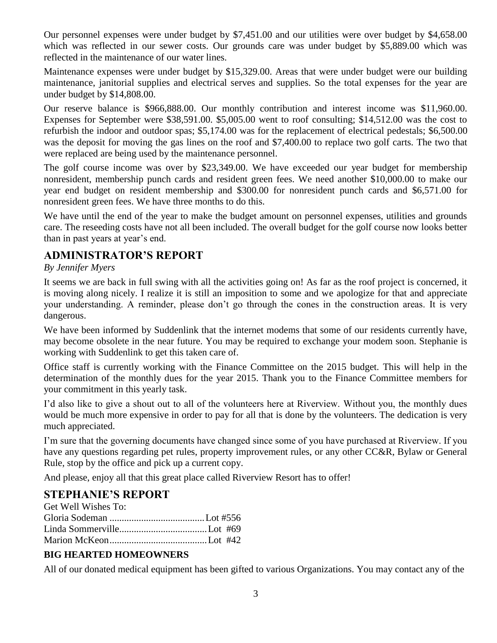Our personnel expenses were under budget by \$7,451.00 and our utilities were over budget by \$4,658.00 which was reflected in our sewer costs. Our grounds care was under budget by \$5,889.00 which was reflected in the maintenance of our water lines.

Maintenance expenses were under budget by \$15,329.00. Areas that were under budget were our building maintenance, janitorial supplies and electrical serves and supplies. So the total expenses for the year are under budget by \$14,808.00.

Our reserve balance is \$966,888.00. Our monthly contribution and interest income was \$11,960.00. Expenses for September were \$38,591.00. \$5,005.00 went to roof consulting; \$14,512.00 was the cost to refurbish the indoor and outdoor spas; \$5,174.00 was for the replacement of electrical pedestals; \$6,500.00 was the deposit for moving the gas lines on the roof and \$7,400.00 to replace two golf carts. The two that were replaced are being used by the maintenance personnel.

The golf course income was over by \$23,349.00. We have exceeded our year budget for membership nonresident, membership punch cards and resident green fees. We need another \$10,000.00 to make our year end budget on resident membership and \$300.00 for nonresident punch cards and \$6,571.00 for nonresident green fees. We have three months to do this.

We have until the end of the year to make the budget amount on personnel expenses, utilities and grounds care. The reseeding costs have not all been included. The overall budget for the golf course now looks better than in past years at year's end.

### **ADMINISTRATOR'S REPORT**

#### *By Jennifer Myers*

It seems we are back in full swing with all the activities going on! As far as the roof project is concerned, it is moving along nicely. I realize it is still an imposition to some and we apologize for that and appreciate your understanding. A reminder, please don't go through the cones in the construction areas. It is very dangerous.

We have been informed by Suddenlink that the internet modems that some of our residents currently have, may become obsolete in the near future. You may be required to exchange your modem soon. Stephanie is working with Suddenlink to get this taken care of.

Office staff is currently working with the Finance Committee on the 2015 budget. This will help in the determination of the monthly dues for the year 2015. Thank you to the Finance Committee members for your commitment in this yearly task.

I'd also like to give a shout out to all of the volunteers here at Riverview. Without you, the monthly dues would be much more expensive in order to pay for all that is done by the volunteers. The dedication is very much appreciated.

I'm sure that the governing documents have changed since some of you have purchased at Riverview. If you have any questions regarding pet rules, property improvement rules, or any other CC&R, Bylaw or General Rule, stop by the office and pick up a current copy.

And please, enjoy all that this great place called Riverview Resort has to offer!

### **STEPHANIE'S REPORT**

#### **BIG HEARTED HOMEOWNERS**

All of our donated medical equipment has been gifted to various Organizations. You may contact any of the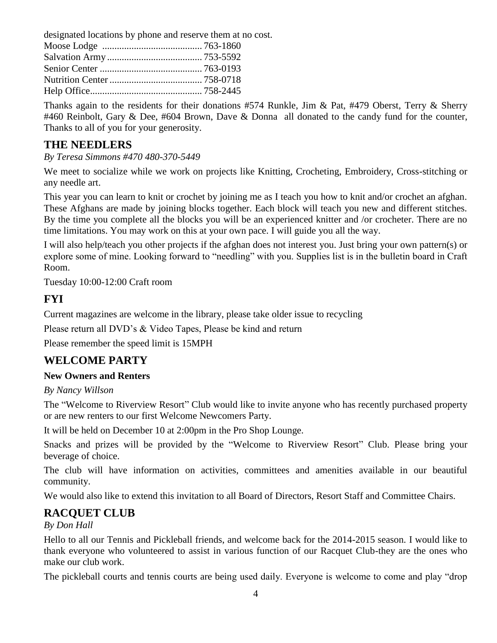designated locations by phone and reserve them at no cost.

Thanks again to the residents for their donations  $#574$  Runkle, Jim & Pat,  $#479$  Oberst, Terry & Sherry #460 Reinbolt, Gary & Dee, #604 Brown, Dave & Donna all donated to the candy fund for the counter, Thanks to all of you for your generosity.

### **THE NEEDLERS**

*By Teresa Simmons #470 480-370-5449*

We meet to socialize while we work on projects like Knitting, Crocheting, Embroidery, Cross-stitching or any needle art.

This year you can learn to knit or crochet by joining me as I teach you how to knit and/or crochet an afghan. These Afghans are made by joining blocks together. Each block will teach you new and different stitches. By the time you complete all the blocks you will be an experienced knitter and /or crocheter. There are no time limitations. You may work on this at your own pace. I will guide you all the way.

I will also help/teach you other projects if the afghan does not interest you. Just bring your own pattern(s) or explore some of mine. Looking forward to "needling" with you. Supplies list is in the bulletin board in Craft Room.

Tuesday 10:00-12:00 Craft room

### **FYI**

Current magazines are welcome in the library, please take older issue to recycling

Please return all DVD's & Video Tapes, Please be kind and return

Please remember the speed limit is 15MPH

# **WELCOME PARTY**

#### **New Owners and Renters**

#### *By Nancy Willson*

The "Welcome to Riverview Resort" Club would like to invite anyone who has recently purchased property or are new renters to our first Welcome Newcomers Party.

It will be held on December 10 at 2:00pm in the Pro Shop Lounge.

Snacks and prizes will be provided by the "Welcome to Riverview Resort" Club. Please bring your beverage of choice.

The club will have information on activities, committees and amenities available in our beautiful community.

We would also like to extend this invitation to all Board of Directors, Resort Staff and Committee Chairs.

# **RACQUET CLUB**

#### *By Don Hall*

Hello to all our Tennis and Pickleball friends, and welcome back for the 2014-2015 season. I would like to thank everyone who volunteered to assist in various function of our Racquet Club-they are the ones who make our club work.

The pickleball courts and tennis courts are being used daily. Everyone is welcome to come and play "drop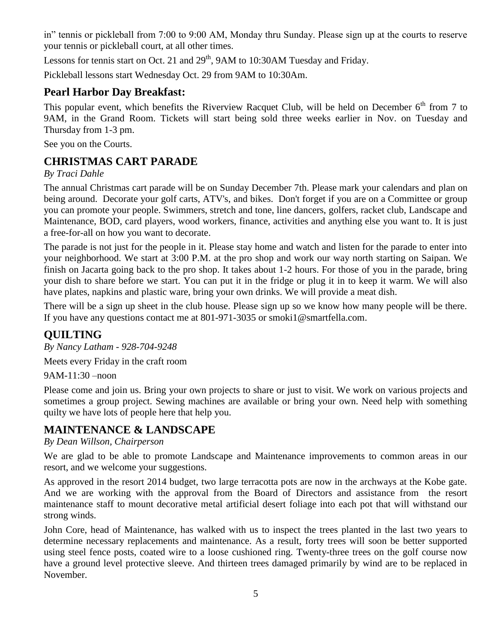in" tennis or pickleball from 7:00 to 9:00 AM, Monday thru Sunday. Please sign up at the courts to reserve your tennis or pickleball court, at all other times.

Lessons for tennis start on Oct. 21 and  $29<sup>th</sup>$ , 9AM to 10:30AM Tuesday and Friday.

Pickleball lessons start Wednesday Oct. 29 from 9AM to 10:30Am.

# **Pearl Harbor Day Breakfast:**

This popular event, which benefits the Riverview Racquet Club, will be held on December 6<sup>th</sup> from 7 to 9AM, in the Grand Room. Tickets will start being sold three weeks earlier in Nov. on Tuesday and Thursday from 1-3 pm.

See you on the Courts.

# **CHRISTMAS CART PARADE**

### *By Traci Dahle*

The annual Christmas cart parade will be on Sunday December 7th. Please mark your calendars and plan on being around. Decorate your golf carts, ATV's, and bikes. Don't forget if you are on a Committee or group you can promote your people. Swimmers, stretch and tone, line dancers, golfers, racket club, Landscape and Maintenance, BOD, card players, wood workers, finance, activities and anything else you want to. It is just a free-for-all on how you want to decorate.

The parade is not just for the people in it. Please stay home and watch and listen for the parade to enter into your neighborhood. We start at 3:00 P.M. at the pro shop and work our way north starting on Saipan. We finish on Jacarta going back to the pro shop. It takes about 1-2 hours. For those of you in the parade, bring your dish to share before we start. You can put it in the fridge or plug it in to keep it warm. We will also have plates, napkins and plastic ware, bring your own drinks. We will provide a meat dish.

There will be a sign up sheet in the club house. Please sign up so we know how many people will be there. If you have any questions contact me at 801-971-3035 or smoki1@smartfella.com.

### **QUILTING**

*By Nancy Latham - 928-704-9248*

Meets every Friday in the craft room

9AM-11:30 –noon

Please come and join us. Bring your own projects to share or just to visit. We work on various projects and sometimes a group project. Sewing machines are available or bring your own. Need help with something quilty we have lots of people here that help you.

### **MAINTENANCE & LANDSCAPE**

#### *By Dean Willson, Chairperson*

We are glad to be able to promote Landscape and Maintenance improvements to common areas in our resort, and we welcome your suggestions.

As approved in the resort 2014 budget, two large terracotta pots are now in the archways at the Kobe gate. And we are working with the approval from the Board of Directors and assistance from the resort maintenance staff to mount decorative metal artificial desert foliage into each pot that will withstand our strong winds.

John Core, head of Maintenance, has walked with us to inspect the trees planted in the last two years to determine necessary replacements and maintenance. As a result, forty trees will soon be better supported using steel fence posts, coated wire to a loose cushioned ring. Twenty-three trees on the golf course now have a ground level protective sleeve. And thirteen trees damaged primarily by wind are to be replaced in November.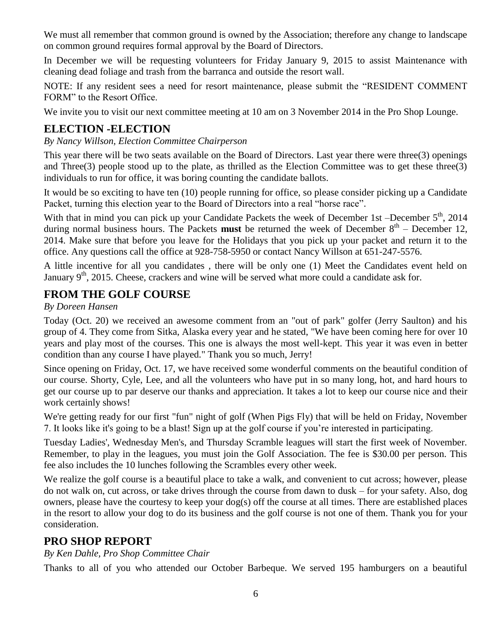We must all remember that common ground is owned by the Association; therefore any change to landscape on common ground requires formal approval by the Board of Directors.

In December we will be requesting volunteers for Friday January 9, 2015 to assist Maintenance with cleaning dead foliage and trash from the barranca and outside the resort wall.

NOTE: If any resident sees a need for resort maintenance, please submit the "RESIDENT COMMENT FORM" to the Resort Office.

We invite you to visit our next committee meeting at 10 am on 3 November 2014 in the Pro Shop Lounge.

# **ELECTION -ELECTION**

*By Nancy Willson, Election Committee Chairperson*

This year there will be two seats available on the Board of Directors. Last year there were three(3) openings and Three(3) people stood up to the plate, as thrilled as the Election Committee was to get these three(3) individuals to run for office, it was boring counting the candidate ballots.

It would be so exciting to have ten (10) people running for office, so please consider picking up a Candidate Packet, turning this election year to the Board of Directors into a real "horse race".

With that in mind you can pick up your Candidate Packets the week of December 1st –December  $5<sup>th</sup>$ , 2014 during normal business hours. The Packets **must** be returned the week of December 8<sup>th</sup> – December 12, 2014. Make sure that before you leave for the Holidays that you pick up your packet and return it to the office. Any questions call the office at 928-758-5950 or contact Nancy Willson at 651-247-5576.

A little incentive for all you candidates , there will be only one (1) Meet the Candidates event held on January 9<sup>th</sup>, 2015. Cheese, crackers and wine will be served what more could a candidate ask for.

### **FROM THE GOLF COURSE**

*By Doreen Hansen*

Today (Oct. 20) we received an awesome comment from an "out of park" golfer (Jerry Saulton) and his group of 4. They come from Sitka, Alaska every year and he stated, "We have been coming here for over 10 years and play most of the courses. This one is always the most well-kept. This year it was even in better condition than any course I have played." Thank you so much, Jerry!

Since opening on Friday, Oct. 17, we have received some wonderful comments on the beautiful condition of our course. Shorty, Cyle, Lee, and all the volunteers who have put in so many long, hot, and hard hours to get our course up to par deserve our thanks and appreciation. It takes a lot to keep our course nice and their work certainly shows!

We're getting ready for our first "fun" night of golf (When Pigs Fly) that will be held on Friday, November 7. It looks like it's going to be a blast! Sign up at the golf course if you're interested in participating.

Tuesday Ladies', Wednesday Men's, and Thursday Scramble leagues will start the first week of November. Remember, to play in the leagues, you must join the Golf Association. The fee is \$30.00 per person. This fee also includes the 10 lunches following the Scrambles every other week.

We realize the golf course is a beautiful place to take a walk, and convenient to cut across; however, please do not walk on, cut across, or take drives through the course from dawn to dusk – for your safety. Also, dog owners, please have the courtesy to keep your dog(s) off the course at all times. There are established places in the resort to allow your dog to do its business and the golf course is not one of them. Thank you for your consideration.

# **PRO SHOP REPORT**

*By Ken Dahle, Pro Shop Committee Chair*

Thanks to all of you who attended our October Barbeque. We served 195 hamburgers on a beautiful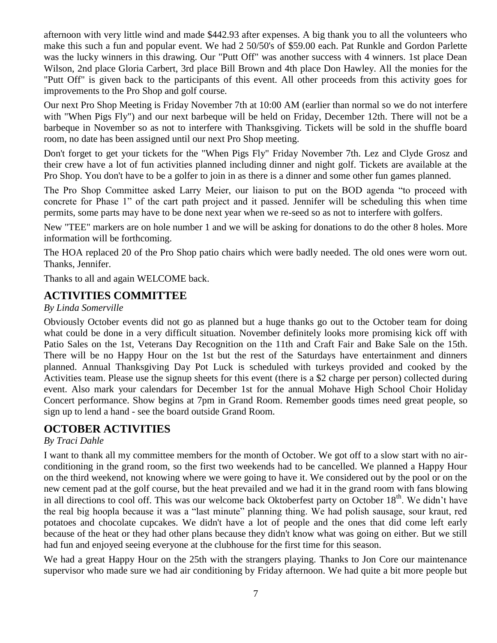afternoon with very little wind and made \$442.93 after expenses. A big thank you to all the volunteers who make this such a fun and popular event. We had 2 50/50's of \$59.00 each. Pat Runkle and Gordon Parlette was the lucky winners in this drawing. Our "Putt Off" was another success with 4 winners. 1st place Dean Wilson, 2nd place Gloria Carbert, 3rd place Bill Brown and 4th place Don Hawley. All the monies for the "Putt Off" is given back to the participants of this event. All other proceeds from this activity goes for improvements to the Pro Shop and golf course.

Our next Pro Shop Meeting is Friday November 7th at 10:00 AM (earlier than normal so we do not interfere with "When Pigs Fly") and our next barbeque will be held on Friday, December 12th. There will not be a barbeque in November so as not to interfere with Thanksgiving. Tickets will be sold in the shuffle board room, no date has been assigned until our next Pro Shop meeting.

Don't forget to get your tickets for the "When Pigs Fly" Friday November 7th. Lez and Clyde Grosz and their crew have a lot of fun activities planned including dinner and night golf. Tickets are available at the Pro Shop. You don't have to be a golfer to join in as there is a dinner and some other fun games planned.

The Pro Shop Committee asked Larry Meier, our liaison to put on the BOD agenda "to proceed with concrete for Phase 1" of the cart path project and it passed. Jennifer will be scheduling this when time permits, some parts may have to be done next year when we re-seed so as not to interfere with golfers.

New "TEE" markers are on hole number 1 and we will be asking for donations to do the other 8 holes. More information will be forthcoming.

The HOA replaced 20 of the Pro Shop patio chairs which were badly needed. The old ones were worn out. Thanks, Jennifer.

Thanks to all and again WELCOME back.

### **ACTIVITIES COMMITTEE**

#### *By Linda Somerville*

Obviously October events did not go as planned but a huge thanks go out to the October team for doing what could be done in a very difficult situation. November definitely looks more promising kick off with Patio Sales on the 1st, Veterans Day Recognition on the 11th and Craft Fair and Bake Sale on the 15th. There will be no Happy Hour on the 1st but the rest of the Saturdays have entertainment and dinners planned. Annual Thanksgiving Day Pot Luck is scheduled with turkeys provided and cooked by the Activities team. Please use the signup sheets for this event (there is a \$2 charge per person) collected during event. Also mark your calendars for December 1st for the annual Mohave High School Choir Holiday Concert performance. Show begins at 7pm in Grand Room. Remember goods times need great people, so sign up to lend a hand - see the board outside Grand Room.

### **OCTOBER ACTIVITIES**

#### *By Traci Dahle*

I want to thank all my committee members for the month of October. We got off to a slow start with no airconditioning in the grand room, so the first two weekends had to be cancelled. We planned a Happy Hour on the third weekend, not knowing where we were going to have it. We considered out by the pool or on the new cement pad at the golf course, but the heat prevailed and we had it in the grand room with fans blowing in all directions to cool off. This was our welcome back Oktoberfest party on October 18<sup>th</sup>. We didn't have the real big hoopla because it was a "last minute" planning thing. We had polish sausage, sour kraut, red potatoes and chocolate cupcakes. We didn't have a lot of people and the ones that did come left early because of the heat or they had other plans because they didn't know what was going on either. But we still had fun and enjoyed seeing everyone at the clubhouse for the first time for this season.

We had a great Happy Hour on the 25th with the strangers playing. Thanks to Jon Core our maintenance supervisor who made sure we had air conditioning by Friday afternoon. We had quite a bit more people but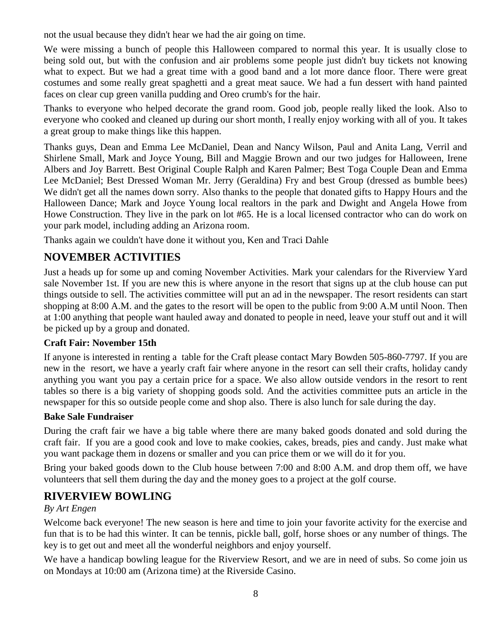not the usual because they didn't hear we had the air going on time.

We were missing a bunch of people this Halloween compared to normal this year. It is usually close to being sold out, but with the confusion and air problems some people just didn't buy tickets not knowing what to expect. But we had a great time with a good band and a lot more dance floor. There were great costumes and some really great spaghetti and a great meat sauce. We had a fun dessert with hand painted faces on clear cup green vanilla pudding and Oreo crumb's for the hair.

Thanks to everyone who helped decorate the grand room. Good job, people really liked the look. Also to everyone who cooked and cleaned up during our short month, I really enjoy working with all of you. It takes a great group to make things like this happen.

Thanks guys, Dean and Emma Lee McDaniel, Dean and Nancy Wilson, Paul and Anita Lang, Verril and Shirlene Small, Mark and Joyce Young, Bill and Maggie Brown and our two judges for Halloween, Irene Albers and Joy Barrett. Best Original Couple Ralph and Karen Palmer; Best Toga Couple Dean and Emma Lee McDaniel; Best Dressed Woman Mr. Jerry (Geraldina) Fry and best Group (dressed as bumble bees) We didn't get all the names down sorry. Also thanks to the people that donated gifts to Happy Hours and the Halloween Dance; Mark and Joyce Young local realtors in the park and Dwight and Angela Howe from Howe Construction. They live in the park on lot #65. He is a local licensed contractor who can do work on your park model, including adding an Arizona room.

Thanks again we couldn't have done it without you, Ken and Traci Dahle

# **NOVEMBER ACTIVITIES**

Just a heads up for some up and coming November Activities. Mark your calendars for the Riverview Yard sale November 1st. If you are new this is where anyone in the resort that signs up at the club house can put things outside to sell. The activities committee will put an ad in the newspaper. The resort residents can start shopping at 8:00 A.M. and the gates to the resort will be open to the public from 9:00 A.M until Noon. Then at 1:00 anything that people want hauled away and donated to people in need, leave your stuff out and it will be picked up by a group and donated.

#### **Craft Fair: November 15th**

If anyone is interested in renting a table for the Craft please contact Mary Bowden 505-860-7797. If you are new in the resort, we have a yearly craft fair where anyone in the resort can sell their crafts, holiday candy anything you want you pay a certain price for a space. We also allow outside vendors in the resort to rent tables so there is a big variety of shopping goods sold. And the activities committee puts an article in the newspaper for this so outside people come and shop also. There is also lunch for sale during the day.

#### **Bake Sale Fundraiser**

During the craft fair we have a big table where there are many baked goods donated and sold during the craft fair. If you are a good cook and love to make cookies, cakes, breads, pies and candy. Just make what you want package them in dozens or smaller and you can price them or we will do it for you.

Bring your baked goods down to the Club house between 7:00 and 8:00 A.M. and drop them off, we have volunteers that sell them during the day and the money goes to a project at the golf course.

### **RIVERVIEW BOWLING**

#### *By Art Engen*

Welcome back everyone! The new season is here and time to join your favorite activity for the exercise and fun that is to be had this winter. It can be tennis, pickle ball, golf, horse shoes or any number of things. The key is to get out and meet all the wonderful neighbors and enjoy yourself.

We have a handicap bowling league for the Riverview Resort, and we are in need of subs. So come join us on Mondays at 10:00 am (Arizona time) at the Riverside Casino.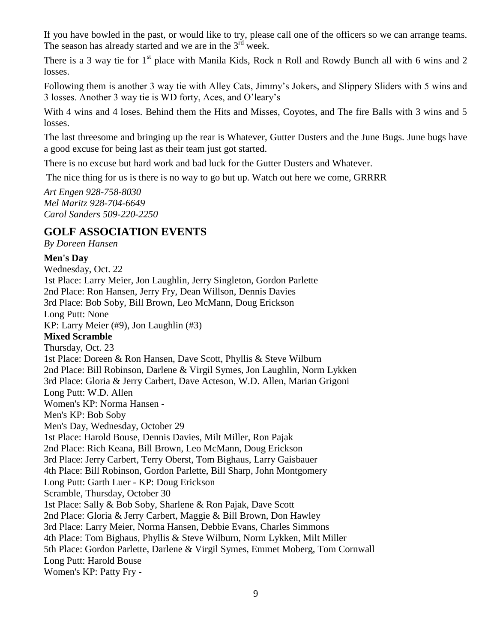If you have bowled in the past, or would like to try, please call one of the officers so we can arrange teams. The season has already started and we are in the  $3<sup>rd</sup>$  week.

There is a 3 way tie for  $1<sup>st</sup>$  place with Manila Kids, Rock n Roll and Rowdy Bunch all with 6 wins and 2 losses.

Following them is another 3 way tie with Alley Cats, Jimmy's Jokers, and Slippery Sliders with 5 wins and 3 losses. Another 3 way tie is WD forty, Aces, and O'leary's

With 4 wins and 4 loses. Behind them the Hits and Misses, Coyotes, and The fire Balls with 3 wins and 5 losses.

The last threesome and bringing up the rear is Whatever, Gutter Dusters and the June Bugs. June bugs have a good excuse for being last as their team just got started.

There is no excuse but hard work and bad luck for the Gutter Dusters and Whatever.

The nice thing for us is there is no way to go but up. Watch out here we come, GRRRR

*Art Engen 928-758-8030 Mel Maritz 928-704-6649 Carol Sanders 509-220-2250*

### **GOLF ASSOCIATION EVENTS**

*By Doreen Hansen*

#### **Men's Day**

Wednesday, Oct. 22 1st Place: Larry Meier, Jon Laughlin, Jerry Singleton, Gordon Parlette 2nd Place: Ron Hansen, Jerry Fry, Dean Willson, Dennis Davies 3rd Place: Bob Soby, Bill Brown, Leo McMann, Doug Erickson Long Putt: None KP: Larry Meier (#9), Jon Laughlin (#3) **Mixed Scramble** Thursday, Oct. 23 1st Place: Doreen & Ron Hansen, Dave Scott, Phyllis & Steve Wilburn 2nd Place: Bill Robinson, Darlene & Virgil Symes, Jon Laughlin, Norm Lykken 3rd Place: Gloria & Jerry Carbert, Dave Acteson, W.D. Allen, Marian Grigoni Long Putt: W.D. Allen Women's KP: Norma Hansen - Men's KP: Bob Soby Men's Day, Wednesday, October 29 1st Place: Harold Bouse, Dennis Davies, Milt Miller, Ron Pajak 2nd Place: Rich Keana, Bill Brown, Leo McMann, Doug Erickson 3rd Place: Jerry Carbert, Terry Oberst, Tom Bighaus, Larry Gaisbauer 4th Place: Bill Robinson, Gordon Parlette, Bill Sharp, John Montgomery Long Putt: Garth Luer - KP: Doug Erickson Scramble, Thursday, October 30 1st Place: Sally & Bob Soby, Sharlene & Ron Pajak, Dave Scott 2nd Place: Gloria & Jerry Carbert, Maggie & Bill Brown, Don Hawley 3rd Place: Larry Meier, Norma Hansen, Debbie Evans, Charles Simmons 4th Place: Tom Bighaus, Phyllis & Steve Wilburn, Norm Lykken, Milt Miller 5th Place: Gordon Parlette, Darlene & Virgil Symes, Emmet Moberg, Tom Cornwall Long Putt: Harold Bouse Women's KP: Patty Fry -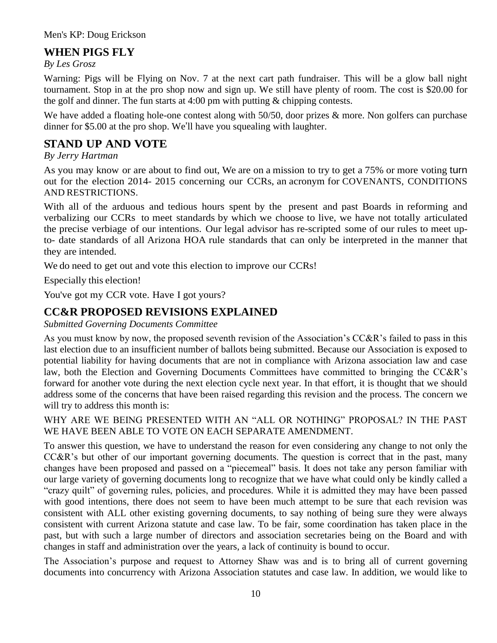## **WHEN PIGS FLY**

*By Les Grosz*

Warning: Pigs will be Flying on Nov. 7 at the next cart path fundraiser. This will be a glow ball night tournament. Stop in at the pro shop now and sign up. We still have plenty of room. The cost is \$20.00 for the golf and dinner. The fun starts at 4:00 pm with putting & chipping contests.

We have added a floating hole-one contest along with 50/50, door prizes & more. Non golfers can purchase dinner for \$5.00 at the pro shop. We'll have you squealing with laughter.

# **STAND UP AND VOTE**

*By Jerry Hartman*

As you may know or are about to find out, We are on a mission to try to get a 75% or more voting turn out for the election 2014- 2015 concerning our CCRs, an acronym for COVENANTS, CONDITIONS AND RESTRICTIONS.

With all of the arduous and tedious hours spent by the present and past Boards in reforming and verbalizing our CCRs to meet standards by which we choose to live, we have not totally articulated the precise verbiage of our intentions. Our legal advisor has re-scripted some of our rules to meet upto- date standards of all Arizona HOA rule standards that can only be interpreted in the manner that they are intended.

We do need to get out and vote this election to improve our CCRs!

Especially this election!

You've got my CCR vote. Have I got yours?

# **CC&R PROPOSED REVISIONS EXPLAINED**

*Submitted Governing Documents Committee*

As you must know by now, the proposed seventh revision of the Association's CC&R's failed to pass in this last election due to an insufficient number of ballots being submitted. Because our Association is exposed to potential liability for having documents that are not in compliance with Arizona association law and case law, both the Election and Governing Documents Committees have committed to bringing the CC&R's forward for another vote during the next election cycle next year. In that effort, it is thought that we should address some of the concerns that have been raised regarding this revision and the process. The concern we will try to address this month is:

WHY ARE WE BEING PRESENTED WITH AN "ALL OR NOTHING" PROPOSAL? IN THE PAST WE HAVE BEEN ABLE TO VOTE ON EACH SEPARATE AMENDMENT.

To answer this question, we have to understand the reason for even considering any change to not only the CC&R's but other of our important governing documents. The question is correct that in the past, many changes have been proposed and passed on a "piecemeal" basis. It does not take any person familiar with our large variety of governing documents long to recognize that we have what could only be kindly called a "crazy quilt" of governing rules, policies, and procedures. While it is admitted they may have been passed with good intentions, there does not seem to have been much attempt to be sure that each revision was consistent with ALL other existing governing documents, to say nothing of being sure they were always consistent with current Arizona statute and case law. To be fair, some coordination has taken place in the past, but with such a large number of directors and association secretaries being on the Board and with changes in staff and administration over the years, a lack of continuity is bound to occur.

The Association's purpose and request to Attorney Shaw was and is to bring all of current governing documents into concurrency with Arizona Association statutes and case law. In addition, we would like to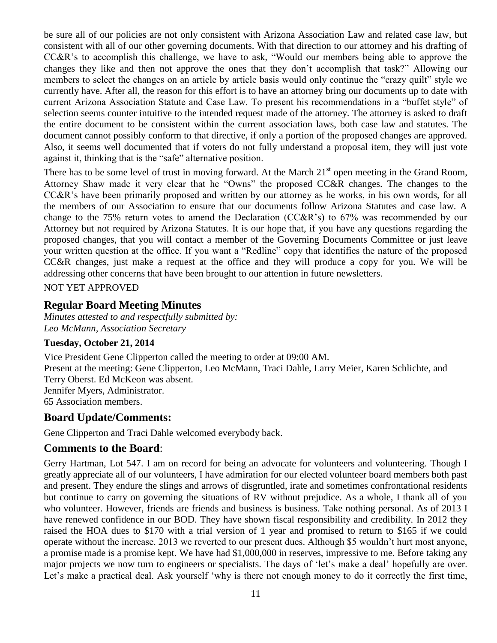be sure all of our policies are not only consistent with Arizona Association Law and related case law, but consistent with all of our other governing documents. With that direction to our attorney and his drafting of CC&R's to accomplish this challenge, we have to ask, "Would our members being able to approve the changes they like and then not approve the ones that they don't accomplish that task?" Allowing our members to select the changes on an article by article basis would only continue the "crazy quilt" style we currently have. After all, the reason for this effort is to have an attorney bring our documents up to date with current Arizona Association Statute and Case Law. To present his recommendations in a "buffet style" of selection seems counter intuitive to the intended request made of the attorney. The attorney is asked to draft the entire document to be consistent within the current association laws, both case law and statutes. The document cannot possibly conform to that directive, if only a portion of the proposed changes are approved. Also, it seems well documented that if voters do not fully understand a proposal item, they will just vote against it, thinking that is the "safe" alternative position.

There has to be some level of trust in moving forward. At the March  $21<sup>st</sup>$  open meeting in the Grand Room, Attorney Shaw made it very clear that he "Owns" the proposed CC&R changes. The changes to the CC&R's have been primarily proposed and written by our attorney as he works, in his own words, for all the members of our Association to ensure that our documents follow Arizona Statutes and case law. A change to the 75% return votes to amend the Declaration (CC&R's) to 67% was recommended by our Attorney but not required by Arizona Statutes. It is our hope that, if you have any questions regarding the proposed changes, that you will contact a member of the Governing Documents Committee or just leave your written question at the office. If you want a "Redline" copy that identifies the nature of the proposed CC&R changes, just make a request at the office and they will produce a copy for you. We will be addressing other concerns that have been brought to our attention in future newsletters.

NOT YET APPROVED

### **Regular Board Meeting Minutes**

*Minutes attested to and respectfully submitted by: Leo McMann, Association Secretary*

#### **Tuesday, October 21, 2014**

Vice President Gene Clipperton called the meeting to order at 09:00 AM. Present at the meeting: Gene Clipperton, Leo McMann, Traci Dahle, Larry Meier, Karen Schlichte, and Terry Oberst. Ed McKeon was absent. Jennifer Myers, Administrator. 65 Association members.

#### **Board Update/Comments:**

Gene Clipperton and Traci Dahle welcomed everybody back.

#### **Comments to the Board**:

Gerry Hartman, Lot 547. I am on record for being an advocate for volunteers and volunteering. Though I greatly appreciate all of our volunteers, I have admiration for our elected volunteer board members both past and present. They endure the slings and arrows of disgruntled, irate and sometimes confrontational residents but continue to carry on governing the situations of RV without prejudice. As a whole, I thank all of you who volunteer. However, friends are friends and business is business. Take nothing personal. As of 2013 I have renewed confidence in our BOD. They have shown fiscal responsibility and credibility. In 2012 they raised the HOA dues to \$170 with a trial version of 1 year and promised to return to \$165 if we could operate without the increase. 2013 we reverted to our present dues. Although \$5 wouldn't hurt most anyone, a promise made is a promise kept. We have had \$1,000,000 in reserves, impressive to me. Before taking any major projects we now turn to engineers or specialists. The days of 'let's make a deal' hopefully are over. Let's make a practical deal. Ask yourself 'why is there not enough money to do it correctly the first time,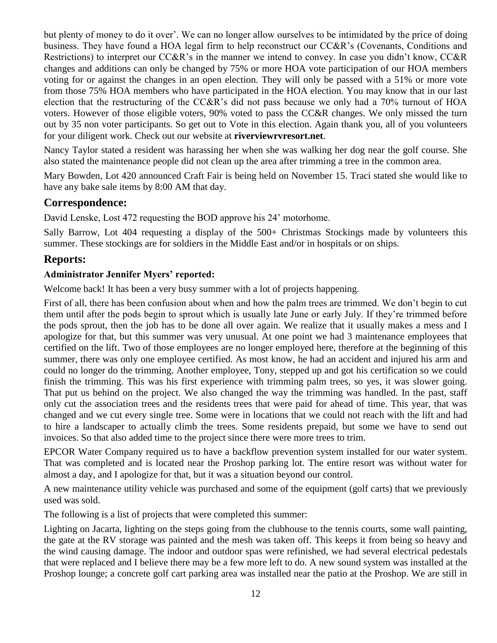but plenty of money to do it over'. We can no longer allow ourselves to be intimidated by the price of doing business. They have found a HOA legal firm to help reconstruct our CC&R's (Covenants, Conditions and Restrictions) to interpret our CC&R's in the manner we intend to convey. In case you didn't know, CC&R changes and additions can only be changed by 75% or more HOA vote participation of our HOA members voting for or against the changes in an open election. They will only be passed with a 51% or more vote from those 75% HOA members who have participated in the HOA election. You may know that in our last election that the restructuring of the CC&R's did not pass because we only had a 70% turnout of HOA voters. However of those eligible voters, 90% voted to pass the CC&R changes. We only missed the turn out by 35 non voter participants. So get out to Vote in this election. Again thank you, all of you volunteers for your diligent work. Check out our website at **riverviewrvresort.net**.

Nancy Taylor stated a resident was harassing her when she was walking her dog near the golf course. She also stated the maintenance people did not clean up the area after trimming a tree in the common area.

Mary Bowden, Lot 420 announced Craft Fair is being held on November 15. Traci stated she would like to have any bake sale items by 8:00 AM that day.

### **Correspondence:**

David Lenske, Lost 472 requesting the BOD approve his 24' motorhome.

Sally Barrow, Lot 404 requesting a display of the 500+ Christmas Stockings made by volunteers this summer. These stockings are for soldiers in the Middle East and/or in hospitals or on ships.

### **Reports:**

#### **Administrator Jennifer Myers' reported:**

Welcome back! It has been a very busy summer with a lot of projects happening.

First of all, there has been confusion about when and how the palm trees are trimmed. We don't begin to cut them until after the pods begin to sprout which is usually late June or early July. If they're trimmed before the pods sprout, then the job has to be done all over again. We realize that it usually makes a mess and I apologize for that, but this summer was very unusual. At one point we had 3 maintenance employees that certified on the lift. Two of those employees are no longer employed here, therefore at the beginning of this summer, there was only one employee certified. As most know, he had an accident and injured his arm and could no longer do the trimming. Another employee, Tony, stepped up and got his certification so we could finish the trimming. This was his first experience with trimming palm trees, so yes, it was slower going. That put us behind on the project. We also changed the way the trimming was handled. In the past, staff only cut the association trees and the residents trees that were paid for ahead of time. This year, that was changed and we cut every single tree. Some were in locations that we could not reach with the lift and had to hire a landscaper to actually climb the trees. Some residents prepaid, but some we have to send out invoices. So that also added time to the project since there were more trees to trim.

EPCOR Water Company required us to have a backflow prevention system installed for our water system. That was completed and is located near the Proshop parking lot. The entire resort was without water for almost a day, and I apologize for that, but it was a situation beyond our control.

A new maintenance utility vehicle was purchased and some of the equipment (golf carts) that we previously used was sold.

The following is a list of projects that were completed this summer:

Lighting on Jacarta, lighting on the steps going from the clubhouse to the tennis courts, some wall painting, the gate at the RV storage was painted and the mesh was taken off. This keeps it from being so heavy and the wind causing damage. The indoor and outdoor spas were refinished, we had several electrical pedestals that were replaced and I believe there may be a few more left to do. A new sound system was installed at the Proshop lounge; a concrete golf cart parking area was installed near the patio at the Proshop. We are still in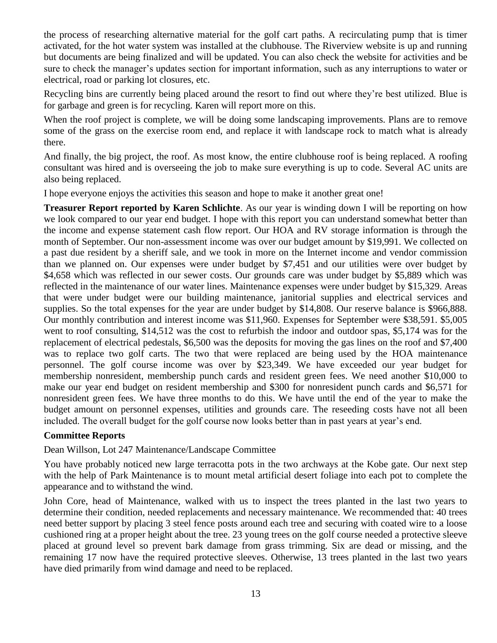the process of researching alternative material for the golf cart paths. A recirculating pump that is timer activated, for the hot water system was installed at the clubhouse. The Riverview website is up and running but documents are being finalized and will be updated. You can also check the website for activities and be sure to check the manager's updates section for important information, such as any interruptions to water or electrical, road or parking lot closures, etc.

Recycling bins are currently being placed around the resort to find out where they're best utilized. Blue is for garbage and green is for recycling. Karen will report more on this.

When the roof project is complete, we will be doing some landscaping improvements. Plans are to remove some of the grass on the exercise room end, and replace it with landscape rock to match what is already there.

And finally, the big project, the roof. As most know, the entire clubhouse roof is being replaced. A roofing consultant was hired and is overseeing the job to make sure everything is up to code. Several AC units are also being replaced.

I hope everyone enjoys the activities this season and hope to make it another great one!

**Treasurer Report reported by Karen Schlichte**. As our year is winding down I will be reporting on how we look compared to our year end budget. I hope with this report you can understand somewhat better than the income and expense statement cash flow report. Our HOA and RV storage information is through the month of September. Our non-assessment income was over our budget amount by \$19,991. We collected on a past due resident by a sheriff sale, and we took in more on the Internet income and vendor commission than we planned on. Our expenses were under budget by \$7,451 and our utilities were over budget by \$4,658 which was reflected in our sewer costs. Our grounds care was under budget by \$5,889 which was reflected in the maintenance of our water lines. Maintenance expenses were under budget by \$15,329. Areas that were under budget were our building maintenance, janitorial supplies and electrical services and supplies. So the total expenses for the year are under budget by \$14,808. Our reserve balance is \$966,888. Our monthly contribution and interest income was \$11,960. Expenses for September were \$38,591. \$5,005 went to roof consulting, \$14,512 was the cost to refurbish the indoor and outdoor spas, \$5,174 was for the replacement of electrical pedestals, \$6,500 was the deposits for moving the gas lines on the roof and \$7,400 was to replace two golf carts. The two that were replaced are being used by the HOA maintenance personnel. The golf course income was over by \$23,349. We have exceeded our year budget for membership nonresident, membership punch cards and resident green fees. We need another \$10,000 to make our year end budget on resident membership and \$300 for nonresident punch cards and \$6,571 for nonresident green fees. We have three months to do this. We have until the end of the year to make the budget amount on personnel expenses, utilities and grounds care. The reseeding costs have not all been included. The overall budget for the golf course now looks better than in past years at year's end.

#### **Committee Reports**

Dean Willson, Lot 247 Maintenance/Landscape Committee

You have probably noticed new large terracotta pots in the two archways at the Kobe gate. Our next step with the help of Park Maintenance is to mount metal artificial desert foliage into each pot to complete the appearance and to withstand the wind.

John Core, head of Maintenance, walked with us to inspect the trees planted in the last two years to determine their condition, needed replacements and necessary maintenance. We recommended that: 40 trees need better support by placing 3 steel fence posts around each tree and securing with coated wire to a loose cushioned ring at a proper height about the tree. 23 young trees on the golf course needed a protective sleeve placed at ground level so prevent bark damage from grass trimming. Six are dead or missing, and the remaining 17 now have the required protective sleeves. Otherwise, 13 trees planted in the last two years have died primarily from wind damage and need to be replaced.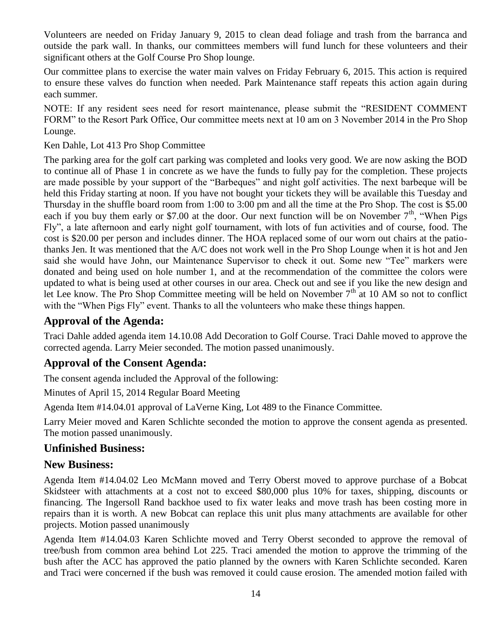Volunteers are needed on Friday January 9, 2015 to clean dead foliage and trash from the barranca and outside the park wall. In thanks, our committees members will fund lunch for these volunteers and their significant others at the Golf Course Pro Shop lounge.

Our committee plans to exercise the water main valves on Friday February 6, 2015. This action is required to ensure these valves do function when needed. Park Maintenance staff repeats this action again during each summer.

NOTE: If any resident sees need for resort maintenance, please submit the "RESIDENT COMMENT FORM" to the Resort Park Office, Our committee meets next at 10 am on 3 November 2014 in the Pro Shop Lounge.

Ken Dahle, Lot 413 Pro Shop Committee

The parking area for the golf cart parking was completed and looks very good. We are now asking the BOD to continue all of Phase 1 in concrete as we have the funds to fully pay for the completion. These projects are made possible by your support of the "Barbeques" and night golf activities. The next barbeque will be held this Friday starting at noon. If you have not bought your tickets they will be available this Tuesday and Thursday in the shuffle board room from 1:00 to 3:00 pm and all the time at the Pro Shop. The cost is \$5.00 each if you buy them early or \$7.00 at the door. Our next function will be on November  $7<sup>th</sup>$ , "When Pigs Fly", a late afternoon and early night golf tournament, with lots of fun activities and of course, food. The cost is \$20.00 per person and includes dinner. The HOA replaced some of our worn out chairs at the patiothanks Jen. It was mentioned that the A/C does not work well in the Pro Shop Lounge when it is hot and Jen said she would have John, our Maintenance Supervisor to check it out. Some new "Tee" markers were donated and being used on hole number 1, and at the recommendation of the committee the colors were updated to what is being used at other courses in our area. Check out and see if you like the new design and let Lee know. The Pro Shop Committee meeting will be held on November  $7<sup>th</sup>$  at 10 AM so not to conflict with the "When Pigs Fly" event. Thanks to all the volunteers who make these things happen.

### **Approval of the Agenda:**

Traci Dahle added agenda item 14.10.08 Add Decoration to Golf Course. Traci Dahle moved to approve the corrected agenda. Larry Meier seconded. The motion passed unanimously.

### **Approval of the Consent Agenda:**

The consent agenda included the Approval of the following:

Minutes of April 15, 2014 Regular Board Meeting

Agenda Item #14.04.01 approval of LaVerne King, Lot 489 to the Finance Committee.

Larry Meier moved and Karen Schlichte seconded the motion to approve the consent agenda as presented. The motion passed unanimously.

### **Unfinished Business:**

#### **New Business:**

Agenda Item #14.04.02 Leo McMann moved and Terry Oberst moved to approve purchase of a Bobcat Skidsteer with attachments at a cost not to exceed \$80,000 plus 10% for taxes, shipping, discounts or financing. The Ingersoll Rand backhoe used to fix water leaks and move trash has been costing more in repairs than it is worth. A new Bobcat can replace this unit plus many attachments are available for other projects. Motion passed unanimously

Agenda Item #14.04.03 Karen Schlichte moved and Terry Oberst seconded to approve the removal of tree/bush from common area behind Lot 225. Traci amended the motion to approve the trimming of the bush after the ACC has approved the patio planned by the owners with Karen Schlichte seconded. Karen and Traci were concerned if the bush was removed it could cause erosion. The amended motion failed with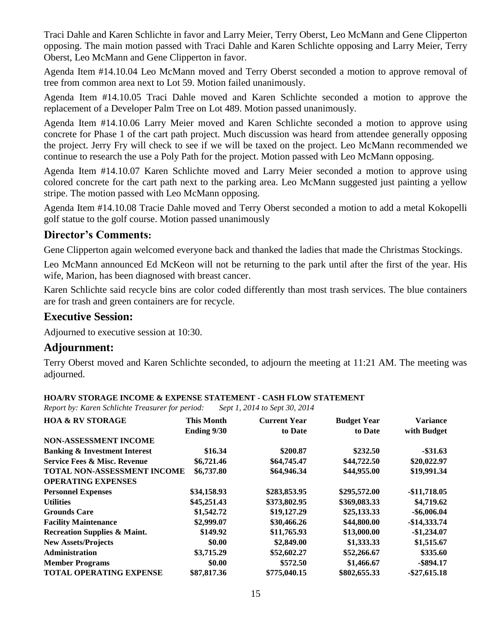Traci Dahle and Karen Schlichte in favor and Larry Meier, Terry Oberst, Leo McMann and Gene Clipperton opposing. The main motion passed with Traci Dahle and Karen Schlichte opposing and Larry Meier, Terry Oberst, Leo McMann and Gene Clipperton in favor.

Agenda Item #14.10.04 Leo McMann moved and Terry Oberst seconded a motion to approve removal of tree from common area next to Lot 59. Motion failed unanimously.

Agenda Item #14.10.05 Traci Dahle moved and Karen Schlichte seconded a motion to approve the replacement of a Developer Palm Tree on Lot 489. Motion passed unanimously.

Agenda Item #14.10.06 Larry Meier moved and Karen Schlichte seconded a motion to approve using concrete for Phase 1 of the cart path project. Much discussion was heard from attendee generally opposing the project. Jerry Fry will check to see if we will be taxed on the project. Leo McMann recommended we continue to research the use a Poly Path for the project. Motion passed with Leo McMann opposing.

Agenda Item #14.10.07 Karen Schlichte moved and Larry Meier seconded a motion to approve using colored concrete for the cart path next to the parking area. Leo McMann suggested just painting a yellow stripe. The motion passed with Leo McMann opposing.

Agenda Item #14.10.08 Tracie Dahle moved and Terry Oberst seconded a motion to add a metal Kokopelli golf statue to the golf course. Motion passed unanimously

### **Director's Comments:**

Gene Clipperton again welcomed everyone back and thanked the ladies that made the Christmas Stockings.

Leo McMann announced Ed McKeon will not be returning to the park until after the first of the year. His wife, Marion, has been diagnosed with breast cancer.

Karen Schlichte said recycle bins are color coded differently than most trash services. The blue containers are for trash and green containers are for recycle.

### **Executive Session:**

Adjourned to executive session at 10:30.

#### **Adjournment:**

Terry Oberst moved and Karen Schlichte seconded, to adjourn the meeting at 11:21 AM. The meeting was adjourned.

| <b>HOA/RV STORAGE INCOME &amp; EXPENSE STATEMENT - CASH FLOW STATEMENT</b> |  |
|----------------------------------------------------------------------------|--|
|----------------------------------------------------------------------------|--|

*Report by: Karen Schlichte Treasurer for period: Sept 1, 2014 to Sept 30, 2014*

| <b>HOA &amp; RV STORAGE</b>              | <b>This Month</b>  | <b>Current Year</b> | <b>Budget Year</b> | <b>Variance</b> |
|------------------------------------------|--------------------|---------------------|--------------------|-----------------|
|                                          | <b>Ending 9/30</b> | to Date             | to Date            | with Budget     |
| <b>NON-ASSESSMENT INCOME</b>             |                    |                     |                    |                 |
| <b>Banking &amp; Investment Interest</b> | \$16.34            | \$200.87            | \$232.50           | $-$ \$31.63     |
| <b>Service Fees &amp; Misc. Revenue</b>  | \$6,721.46         | \$64,745.47         | \$44,722.50        | \$20,022.97     |
| TOTAL NON-ASSESSMENT INCOME              | \$6,737.80         | \$64,946.34         | \$44,955.00        | \$19,991.34     |
| <b>OPERATING EXPENSES</b>                |                    |                     |                    |                 |
| <b>Personnel Expenses</b>                | \$34,158.93        | \$283,853.95        | \$295,572.00       | $-$11,718.05$   |
| <b>Utilities</b>                         | \$45,251.43        | \$373,802.95        | \$369,083.33       | \$4,719.62      |
| <b>Grounds Care</b>                      | \$1,542.72         | \$19,127.29         | \$25,133.33        | $-$ \$6,006.04  |
| <b>Facility Maintenance</b>              | \$2,999.07         | \$30,466.26         | \$44,800.00        | $-$14,333.74$   |
| <b>Recreation Supplies &amp; Maint.</b>  | \$149.92           | \$11,765.93         | \$13,000.00        | $-$1,234.07$    |
| <b>New Assets/Projects</b>               | \$0.00             | \$2,849.00          | \$1,333.33         | \$1,515.67      |
| <b>Administration</b>                    | \$3,715.29         | \$52,602.27         | \$52,266.67        | \$335.60        |
| <b>Member Programs</b>                   | \$0.00             | \$572.50            | \$1,466.67         | $-$ \$894.17    |
| <b>TOTAL OPERATING EXPENSE</b>           | \$87,817.36        | \$775,040.15        | \$802,655.33       | $-$ \$27,615.18 |